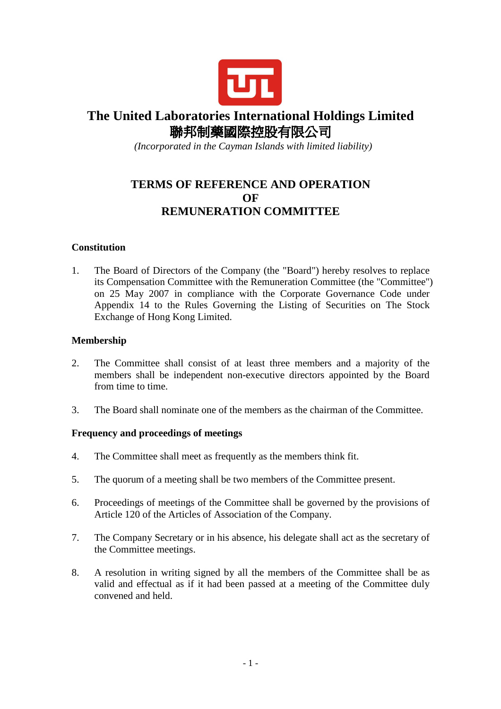

# **The United Laboratories International Holdings Limited**  聯邦制藥國際控股有限公司

 *(Incorporated in the Cayman Islands with limited liability)* 

# **TERMS OF REFERENCE AND OPERATION OF REMUNERATION COMMITTEE**

## **Constitution**

1. The Board of Directors of the Company (the "Board") hereby resolves to replace its Compensation Committee with the Remuneration Committee (the "Committee") on 25 May 2007 in compliance with the Corporate Governance Code under Appendix 14 to the Rules Governing the Listing of Securities on The Stock Exchange of Hong Kong Limited.

## **Membership**

- 2. The Committee shall consist of at least three members and a majority of the members shall be independent non-executive directors appointed by the Board from time to time.
- 3. The Board shall nominate one of the members as the chairman of the Committee.

#### **Frequency and proceedings of meetings**

- 4. The Committee shall meet as frequently as the members think fit.
- 5. The quorum of a meeting shall be two members of the Committee present.
- 6. Proceedings of meetings of the Committee shall be governed by the provisions of Article 120 of the Articles of Association of the Company.
- 7. The Company Secretary or in his absence, his delegate shall act as the secretary of the Committee meetings.
- 8. A resolution in writing signed by all the members of the Committee shall be as valid and effectual as if it had been passed at a meeting of the Committee duly convened and held.